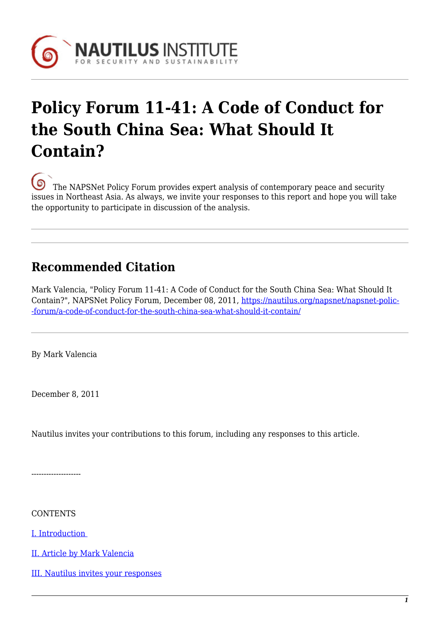

# **Policy Forum 11-41: A Code of Conduct for the South China Sea: What Should It Contain?**

[T](https://nautilus.org/wp-content/uploads/2013/05/nautilus-logo-small.png)he NAPSNet Policy Forum provides expert analysis of contemporary peace and security issues in Northeast Asia. As always, we invite your responses to this report and hope you will take the opportunity to participate in discussion of the analysis.

# **Recommended Citation**

Mark Valencia, "Policy Forum 11-41: A Code of Conduct for the South China Sea: What Should It Contain?", NAPSNet Policy Forum, December 08, 2011, [https://nautilus.org/napsnet/napsnet-polic-](https://nautilus.org/napsnet/napsnet-policy-forum/a-code-of-conduct-for-the-south-china-sea-what-should-it-contain/) [-forum/a-code-of-conduct-for-the-south-china-sea-what-should-it-contain/](https://nautilus.org/napsnet/napsnet-policy-forum/a-code-of-conduct-for-the-south-china-sea-what-should-it-contain/)

By Mark Valencia

December 8, 2011

Nautilus invites your contributions to this forum, including any responses to this article.

--------------------

**CONTENTS** 

[I. Introduction](https://nautilus.org/publications/essays/napsnet/forum/Valencia_South_China_Sea_CoC#i-introduction) 

[II. Article by Mark Valencia](https://nautilus.org/publications/essays/napsnet/forum/Valencia_South_China_Sea_CoC#ii-report-by-mark)

[III. Nautilus invites your responses](https://nautilus.org/publications/essays/napsnet/forum/Valencia_South_China_Sea_CoC#iii-nautilus-invites-your)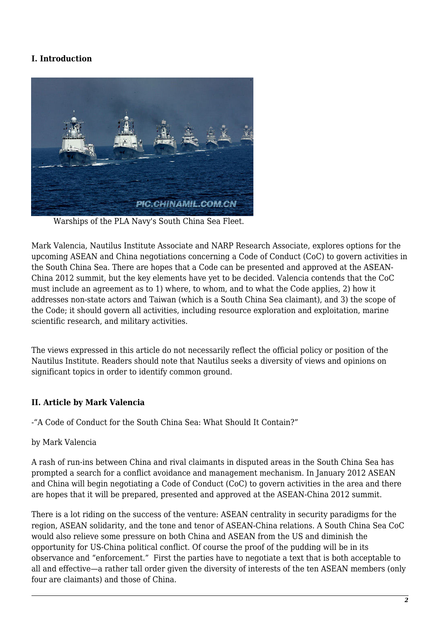## **I. Introduction**



Warships of the PLA Navy's South China Sea Fleet.

Mark Valencia, Nautilus Institute Associate and NARP Research Associate, explores options for the upcoming ASEAN and China negotiations concerning a Code of Conduct (CoC) to govern activities in the South China Sea. There are hopes that a Code can be presented and approved at the ASEAN-China 2012 summit, but the key elements have yet to be decided. Valencia contends that the CoC must include an agreement as to 1) where, to whom, and to what the Code applies, 2) how it addresses non-state actors and Taiwan (which is a South China Sea claimant), and 3) the scope of the Code; it should govern all activities, including resource exploration and exploitation, marine scientific research, and military activities.

The views expressed in this article do not necessarily reflect the official policy or position of the Nautilus Institute. Readers should note that Nautilus seeks a diversity of views and opinions on significant topics in order to identify common ground.

#### **II. Article by Mark Valencia**

-"A Code of Conduct for the South China Sea: What Should It Contain?"

#### by Mark Valencia

A rash of run-ins between China and rival claimants in disputed areas in the South China Sea has prompted a search for a conflict avoidance and management mechanism. In January 2012 ASEAN and China will begin negotiating a Code of Conduct (CoC) to govern activities in the area and there are hopes that it will be prepared, presented and approved at the ASEAN-China 2012 summit.

There is a lot riding on the success of the venture: ASEAN centrality in security paradigms for the region, ASEAN solidarity, and the tone and tenor of ASEAN-China relations. A South China Sea CoC would also relieve some pressure on both China and ASEAN from the US and diminish the opportunity for US-China political conflict. Of course the proof of the pudding will be in its observance and "enforcement." First the parties have to negotiate a text that is both acceptable to all and effective—a rather tall order given the diversity of interests of the ten ASEAN members (only four are claimants) and those of China.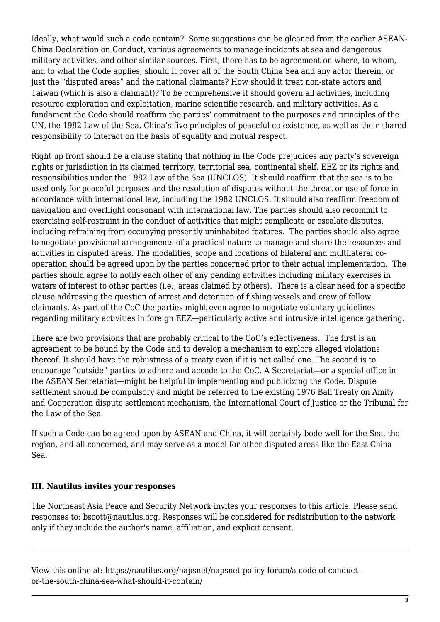Ideally, what would such a code contain? Some suggestions can be gleaned from the earlier ASEAN-China Declaration on Conduct, various agreements to manage incidents at sea and dangerous military activities, and other similar sources. First, there has to be agreement on where, to whom, and to what the Code applies; should it cover all of the South China Sea and any actor therein, or just the "disputed areas" and the national claimants? How should it treat non-state actors and Taiwan (which is also a claimant)? To be comprehensive it should govern all activities, including resource exploration and exploitation, marine scientific research, and military activities. As a fundament the Code should reaffirm the parties' commitment to the purposes and principles of the UN, the 1982 Law of the Sea, China's five principles of peaceful co-existence, as well as their shared responsibility to interact on the basis of equality and mutual respect.

Right up front should be a clause stating that nothing in the Code prejudices any party's sovereign rights or jurisdiction in its claimed territory, territorial sea, continental shelf, EEZ or its rights and responsibilities under the 1982 Law of the Sea (UNCLOS). It should reaffirm that the sea is to be used only for peaceful purposes and the resolution of disputes without the threat or use of force in accordance with international law, including the 1982 UNCLOS. It should also reaffirm freedom of navigation and overflight consonant with international law. The parties should also recommit to exercising self-restraint in the conduct of activities that might complicate or escalate disputes, including refraining from occupying presently uninhabited features. The parties should also agree to negotiate provisional arrangements of a practical nature to manage and share the resources and activities in disputed areas. The modalities, scope and locations of bilateral and multilateral cooperation should be agreed upon by the parties concerned prior to their actual implementation. The parties should agree to notify each other of any pending activities including military exercises in waters of interest to other parties (i.e., areas claimed by others). There is a clear need for a specific clause addressing the question of arrest and detention of fishing vessels and crew of fellow claimants. As part of the CoC the parties might even agree to negotiate voluntary guidelines regarding military activities in foreign EEZ—particularly active and intrusive intelligence gathering.

There are two provisions that are probably critical to the CoC's effectiveness. The first is an agreement to be bound by the Code and to develop a mechanism to explore alleged violations thereof. It should have the robustness of a treaty even if it is not called one. The second is to encourage "outside" parties to adhere and accede to the CoC. A Secretariat—or a special office in the ASEAN Secretariat—might be helpful in implementing and publicizing the Code. Dispute settlement should be compulsory and might be referred to the existing 1976 Bali Treaty on Amity and Cooperation dispute settlement mechanism, the International Court of Justice or the Tribunal for the Law of the Sea.

If such a Code can be agreed upon by ASEAN and China, it will certainly bode well for the Sea, the region, and all concerned, and may serve as a model for other disputed areas like the East China Sea.

### **III. Nautilus invites your responses**

The Northeast Asia Peace and Security Network invites your responses to this article. Please send responses to: bscott@nautilus.org. Responses will be considered for redistribution to the network only if they include the author's name, affiliation, and explicit consent.

View this online at: https://nautilus.org/napsnet/napsnet-policy-forum/a-code-of-conduct- or-the-south-china-sea-what-should-it-contain/